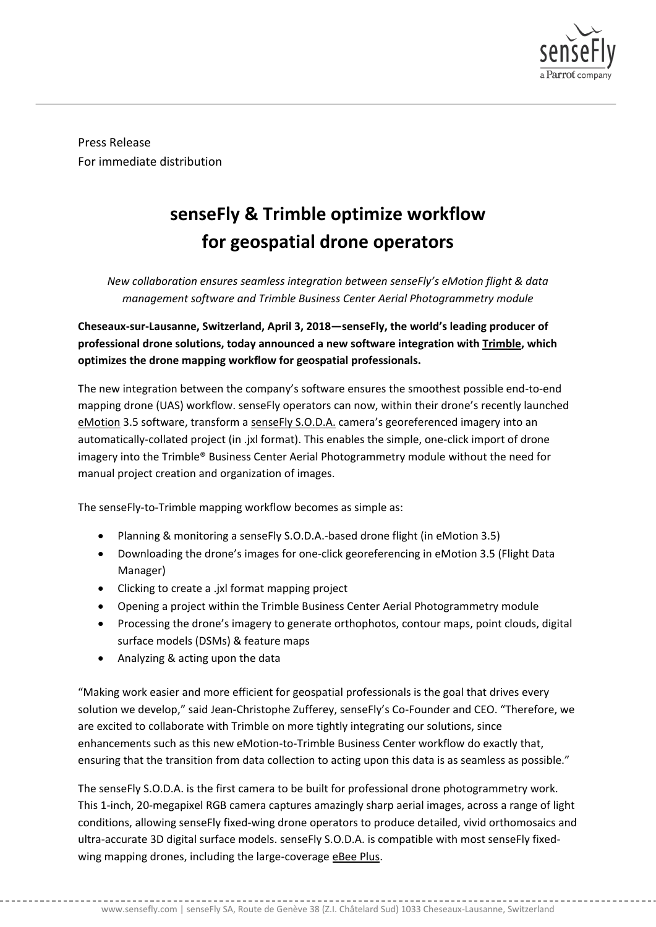

Press Release For immediate distribution

## **senseFly & Trimble optimize workflow for geospatial drone operators**

*New collaboration ensures seamless integration between senseFly's eMotion flight & data management software and Trimble Business Center Aerial Photogrammetry module*

**Cheseaux-sur-Lausanne, Switzerland, April 3, 2018—senseFly, the world's leading producer of professional drone solutions, today announced a new software integration with [Trimble,](https://geospatial.trimble.com/) which optimizes the drone mapping workflow for geospatial professionals.** 

The new integration between the company's software ensures the smoothest possible end-to-end mapping drone (UAS) workflow. senseFly operators can now, within their drone's recently launched [eMotion](https://www.sensefly.com/software/emotion/) 3.5 software, transform a [senseFly S.O.D.A.](https://www.sensefly.com/app/uploads/2017/10/senseFly_SODA_EN.pdf) camera's georeferenced imagery into an automatically-collated project (in .jxl format). This enables the simple, one-click import of drone imagery into the Trimble® Business Center Aerial Photogrammetry module without the need for manual project creation and organization of images.

The senseFly-to-Trimble mapping workflow becomes as simple as:

- Planning & monitoring a senseFly S.O.D.A.-based drone flight (in eMotion 3.5)
- Downloading the drone's images for one-click georeferencing in eMotion 3.5 (Flight Data Manager)
- Clicking to create a .jxl format mapping project
- Opening a project within the Trimble Business Center Aerial Photogrammetry module
- Processing the drone's imagery to generate orthophotos, contour maps, point clouds, digital surface models (DSMs) & feature maps
- Analyzing & acting upon the data

"Making work easier and more efficient for geospatial professionals is the goal that drives every solution we develop," said Jean-Christophe Zufferey, senseFly's Co-Founder and CEO. "Therefore, we are excited to collaborate with Trimble on more tightly integrating our solutions, since enhancements such as this new eMotion-to-Trimble Business Center workflow do exactly that, ensuring that the transition from data collection to acting upon this data is as seamless as possible."

The senseFly S.O.D.A. is the first camera to be built for professional drone photogrammetry work. This 1-inch, 20-megapixel RGB camera captures amazingly sharp aerial images, across a range of light conditions, allowing senseFly fixed-wing drone operators to produce detailed, vivid orthomosaics and ultra-accurate 3D digital surface models. senseFly S.O.D.A. is compatible with most senseFly fixedwing mapping drones, including the large-coverag[e eBee Plus.](https://www.sensefly.com/drone/ebee-plus-survey-drone/)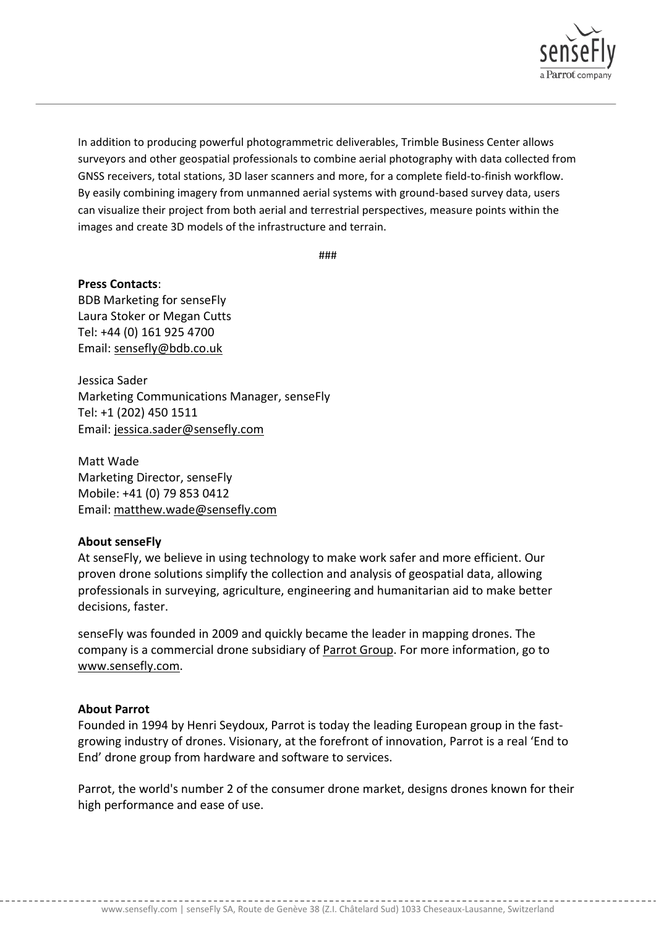

In addition to producing powerful photogrammetric deliverables, Trimble Business Center allows surveyors and other geospatial professionals to combine aerial photography with data collected from GNSS receivers, total stations, 3D laser scanners and more, for a complete field-to-finish workflow. By easily combining imagery from unmanned aerial systems with ground-based survey data, users can visualize their project from both aerial and terrestrial perspectives, measure points within the images and create 3D models of the infrastructure and terrain.

###

**Press Contacts**: BDB Marketing for senseFly Laura Stoker or Megan Cutts Tel: +44 (0) 161 925 4700 Email: [sensefly@bdb.co.uk](mailto:sensefly@bdb.co.uk)

Jessica Sader Marketing Communications Manager, senseFly Tel: +1 (202) 450 1511 Email: [jessica.sader@sensefly.com](mailto:jessica.sader@sensefly.com)

Matt Wade Marketing Director, senseFly Mobile: +41 (0) 79 853 0412 Email: [matthew.wade@sensefly.com](mailto:matthew.wade@sensefly.com)

## **About senseFly**

At senseFly, we believe in using technology to make work safer and more efficient. Our proven drone solutions simplify the collection and analysis of geospatial data, allowing professionals in surveying, agriculture, engineering and humanitarian aid to make better decisions, faster.

senseFly was founded in 2009 and quickly became the leader in mapping drones. The company is a commercial drone subsidiary of [Parrot Group.](http://www.parrot.com/) For more information, go to [www.sensefly.com.](http://www.sensefly.com/)

## **About Parrot**

Founded in 1994 by Henri Seydoux, Parrot is today the leading European group in the fastgrowing industry of drones. Visionary, at the forefront of innovation, Parrot is a real 'End to End' drone group from hardware and software to services.

Parrot, the world's number 2 of the consumer drone market, designs drones known for their high performance and ease of use.